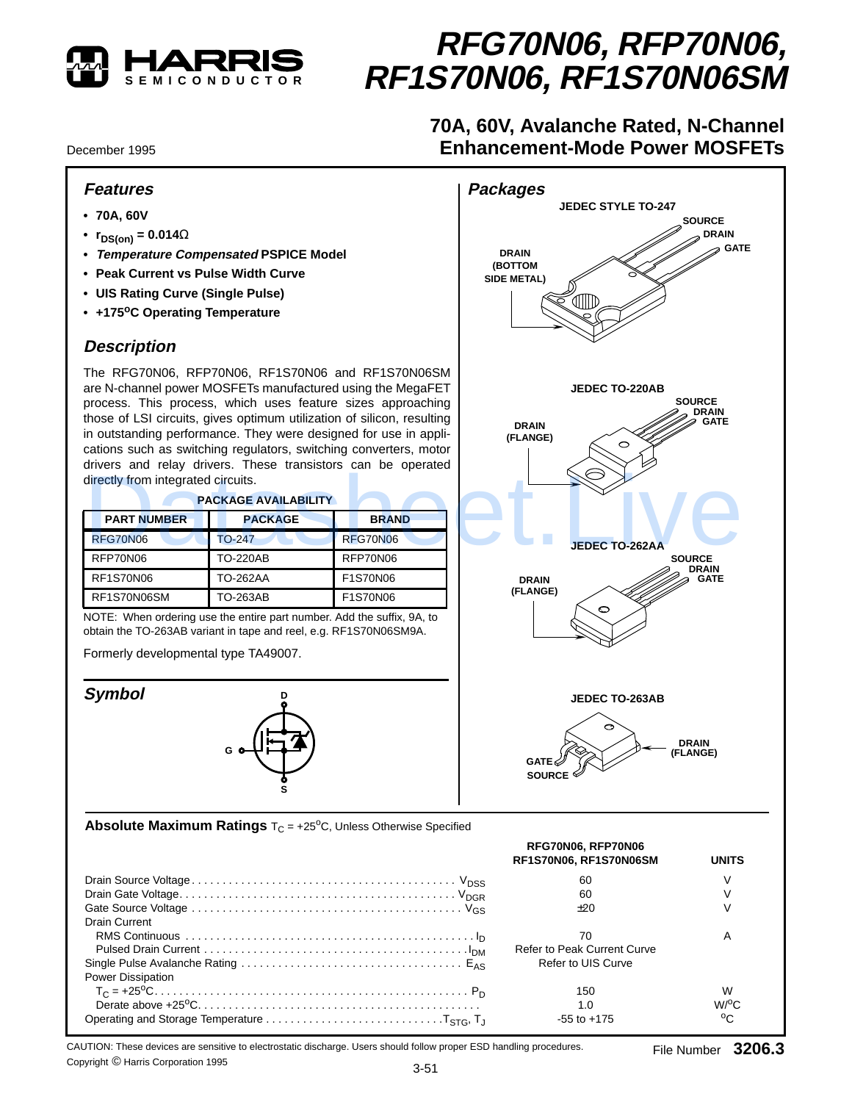

# **RFG70N06, RFP70N06, RF1S70N06, RF1S70N06SM**

# **70A, 60V, Avalanche Rated, N-Channel Enhancement-Mode Power MOSFETs**

December 1995

### **Features**

- **70A, 60V**
- $r_{DS(on)} = 0.014\Omega$
- **• Temperature Compensated PSPICE Model**
- **Peak Current vs Pulse Width Curve**
- **UIS Rating Curve (Single Pulse)**
- **+175oC Operating Temperature**

## **Description**

The RFG70N06, RFP70N06, RF1S70N06 and RF1S70N06SM are N-channel power MOSFETs manufactured using the MegaFET process. This process, which uses feature sizes approaching those of LSI circuits, gives optimum utilization of silicon, resulting in outstanding performance. They were designed for use in applications such as switching regulators, switching converters, motor drivers and relay drivers. These transistors can be operated directly from integrated circuits.

| <b>PACKAGE AVAILABILITY</b> |                 |                 |  |  |  |
|-----------------------------|-----------------|-----------------|--|--|--|
| <b>PART NUMBER</b>          | <b>PACKAGE</b>  | <b>BRAND</b>    |  |  |  |
| RFG70N06                    | $TO-247$        | <b>RFG70N06</b> |  |  |  |
| RFP70N06                    | <b>TO-220AB</b> | RFP70N06        |  |  |  |
| <b>RF1S70N06</b>            | TO-262AA        | F1S70N06        |  |  |  |
| RF1S70N06SM                 | TO-263AB        | F1S70N06        |  |  |  |



#### **Absolute Maximum Ratings**  $T_C = +25^{\circ}C$ , Unless Otherwise Specified

| <b>Packages</b><br><b>JEDEC STYLE TO-247</b><br><b>SOURCE</b><br><b>DRAIN</b><br><b>⊘ GATE</b><br><b>DRAIN</b><br>(BOTTOM<br>SIDE METAL)                                                                        |
|-----------------------------------------------------------------------------------------------------------------------------------------------------------------------------------------------------------------|
| JEDEC TO-220AB<br><b>SOURCE</b><br><b>DRAIN</b><br><b>GATE</b><br><b>DRAIN</b><br>(FLANGE)<br>$\circ$<br><b>JEDEC TO-262AA</b><br><b>SOURCE</b><br><b>DRAIN</b><br><b>DRAIN</b><br><b>GATE</b><br>(FLANGE)<br>⊖ |
| <b>JEDEC TO-263AB</b><br>c<br><b>DRAIN</b><br>(FLANGE)<br>$\mathsf{GATE} \mathscr{C}$<br>SOURCE $^{\rm \mathbb{C}}$                                                                                             |
| þ<br>RFG70N06. RFP70N06                                                                                                                                                                                         |

| <b>PACKAGE AVAILABILITY</b><br><b>PACKAGE</b><br><b>BRAND</b><br><b>RFG70N06</b><br>RFP70N06<br>F1S70N06<br>F1S70N06<br>NOTE: When ordering use the entire part number. Add the suffix, 9A, to<br>obtain the TO-263AB variant in tape and reel, e.g. RF1S70N06SM9A.<br>Formerly developmental type TA49007. | <b>JEDEC TO-262AA</b><br><b>DRAIN</b><br>(FLANGE)<br>⊖         | <b>SOURCE</b><br><b>DRAIN</b><br><b>GATE</b>                                      |
|-------------------------------------------------------------------------------------------------------------------------------------------------------------------------------------------------------------------------------------------------------------------------------------------------------------|----------------------------------------------------------------|-----------------------------------------------------------------------------------|
|                                                                                                                                                                                                                                                                                                             |                                                                |                                                                                   |
|                                                                                                                                                                                                                                                                                                             |                                                                |                                                                                   |
|                                                                                                                                                                                                                                                                                                             |                                                                |                                                                                   |
|                                                                                                                                                                                                                                                                                                             |                                                                |                                                                                   |
|                                                                                                                                                                                                                                                                                                             |                                                                |                                                                                   |
|                                                                                                                                                                                                                                                                                                             |                                                                |                                                                                   |
|                                                                                                                                                                                                                                                                                                             | <b>JEDEC TO-263AB</b>                                          |                                                                                   |
|                                                                                                                                                                                                                                                                                                             | <b>GATE</b><br><b>SOURCE</b>                                   | <b>DRAIN</b><br>(FLANGE)                                                          |
|                                                                                                                                                                                                                                                                                                             | RFG70N06, RFP70N06<br>RF1S70N06, RF1S70N06SM                   | <b>UNITS</b>                                                                      |
|                                                                                                                                                                                                                                                                                                             | 60                                                             | V                                                                                 |
|                                                                                                                                                                                                                                                                                                             | 60<br>±20                                                      | V<br>$\vee$                                                                       |
|                                                                                                                                                                                                                                                                                                             |                                                                |                                                                                   |
|                                                                                                                                                                                                                                                                                                             | 70<br><b>Refer to Peak Current Curve</b><br>Refer to UIS Curve | A                                                                                 |
|                                                                                                                                                                                                                                                                                                             | 150                                                            | W                                                                                 |
|                                                                                                                                                                                                                                                                                                             |                                                                | <b>Absolute Maximum Ratings</b> $T_c = +25^{\circ}C$ , Unless Otherwise Specified |

CAUTION: These devices are sensitive to electrostatic discharge. Users should follow proper ESD handling procedures. Copyright © Harris Corporation 1995<br>
3-51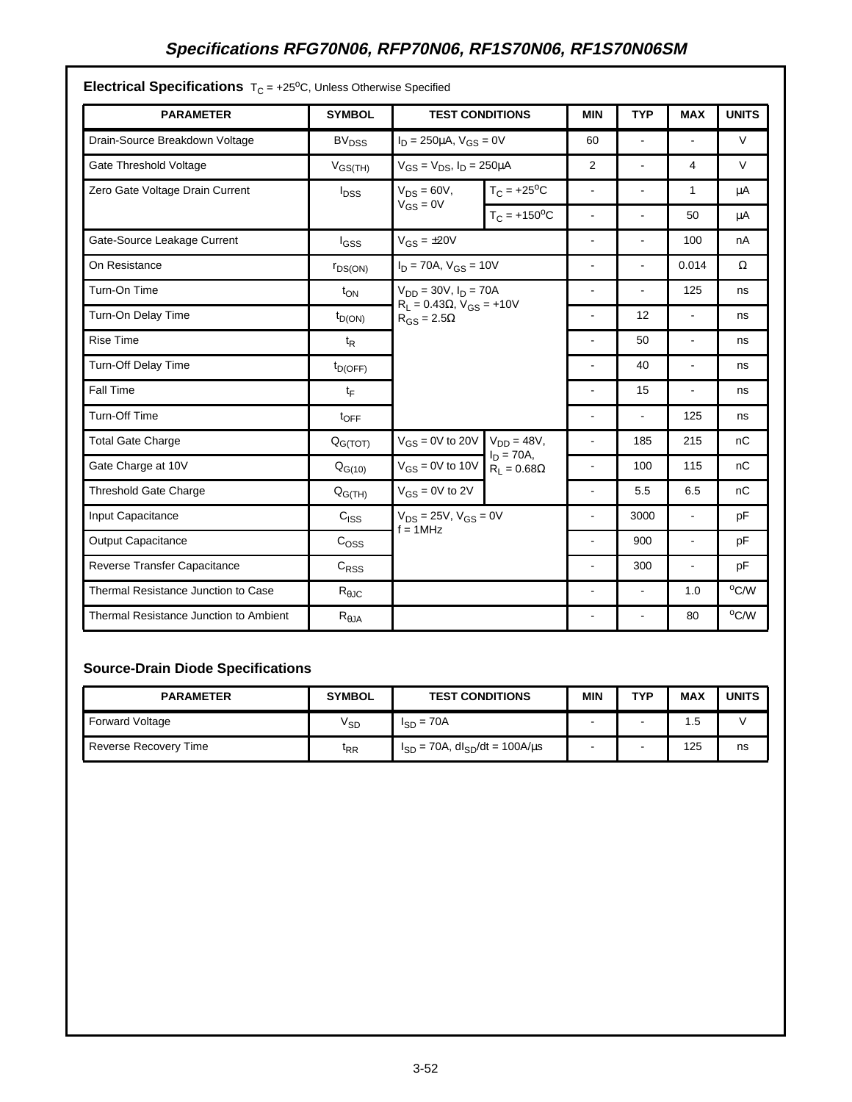# **Specifications RFG70N06, RFP70N06, RF1S70N06, RF1S70N06SM**

| <b>PARAMETER</b>                       | <b>SYMBOL</b>           | <b>TEST CONDITIONS</b>                                                                       |                             | <b>MIN</b>               | <b>TYP</b>     | <b>MAX</b>     | <b>UNITS</b> |
|----------------------------------------|-------------------------|----------------------------------------------------------------------------------------------|-----------------------------|--------------------------|----------------|----------------|--------------|
| Drain-Source Breakdown Voltage         | <b>BV<sub>DSS</sub></b> | $I_D = 250 \mu A$ , $V_{GS} = 0V$                                                            |                             | 60                       | ä,             | $\blacksquare$ | $\vee$       |
| Gate Threshold Voltage                 | $V_{GS(TH)}$            | $V_{GS} = V_{DS}$ , $I_D = 250 \mu A$                                                        |                             | $\overline{2}$           | $\blacksquare$ | 4              | $\vee$       |
| Zero Gate Voltage Drain Current        | <b>I</b> <sub>DSS</sub> | $V_{DS} = 60V,$<br>$V_{GS} = 0V$                                                             | $T_C = +25$ <sup>o</sup> C  | $\blacksquare$           | $\blacksquare$ | 1              | μA           |
|                                        |                         |                                                                                              | $T_C = +150$ <sup>o</sup> C | $\overline{\phantom{a}}$ |                | 50             | μA           |
| Gate-Source Leakage Current            | $I_{GSS}$               | $V_{GS} = \pm 20V$                                                                           |                             |                          |                | 100            | nA           |
| On Resistance                          | $r_{DS(ON)}$            | $I_D = 70A$ , $V_{GS} = 10V$                                                                 |                             | ÷,                       | ÷.             | 0.014          | Ω            |
| Turn-On Time                           | $t_{ON}$                | $V_{DD} = 30V$ , $I_D = 70A$<br>$R_L = 0.43\Omega$ , $V_{GS} = +10V$<br>$R_{GS} = 2.5\Omega$ |                             | ÷                        |                | 125            | ns           |
| Turn-On Delay Time                     | $t_{D(ON)}$             |                                                                                              |                             | $\overline{a}$           | 12             | $\blacksquare$ | ns           |
| <b>Rise Time</b>                       | $t_{\mathsf{R}}$        |                                                                                              |                             |                          | 50             | $\blacksquare$ | ns           |
| Turn-Off Delay Time                    | $t_{D(OFF)}$            |                                                                                              |                             | ÷,                       | 40             | $\blacksquare$ | ns           |
| <b>Fall Time</b>                       | $t_{\mathsf{F}}$        |                                                                                              |                             | ÷,                       | 15             | $\blacksquare$ | ns           |
| Turn-Off Time                          | $t_{\text{OFF}}$        |                                                                                              |                             | ä,                       | ÷.             | 125            | ns           |
| <b>Total Gate Charge</b>               | Q <sub>G(TOT)</sub>     | $V_{GS} = 0V$ to 20V<br>$V_{DD} = 48V,$                                                      | $\blacksquare$              | 185                      | 215            | nC             |              |
| Gate Charge at 10V                     | $Q_{G(10)}$             | $V_{GS} = 0V$ to 10V $R_L = 0.68\Omega$                                                      | $I_D = 70A,$                | $\overline{a}$           | 100            | 115            | nC           |
| <b>Threshold Gate Charge</b>           | $Q_{G(TH)}$             | $V_{GS} = 0V$ to 2V                                                                          |                             | ÷,                       | 5.5            | 6.5            | nC           |
| Input Capacitance                      | $C_{ SS}$               | $V_{DS} = 25V$ , $V_{GS} = 0V$<br>$f = 1MHz$                                                 |                             | ä,                       | 3000           | $\blacksquare$ | pF           |
| <b>Output Capacitance</b>              | C <sub>OSS</sub>        |                                                                                              |                             | $\blacksquare$           | 900            | $\blacksquare$ | pF           |
| Reverse Transfer Capacitance           | $C_{RSS}$               |                                                                                              |                             | ÷                        | 300            | $\blacksquare$ | pF           |
| Thermal Resistance Junction to Case    | $R_{\theta$ JC          |                                                                                              |                             | ÷,                       | ÷,             | 1.0            | °C/W         |
| Thermal Resistance Junction to Ambient | $R_{\theta JA}$         |                                                                                              |                             |                          |                | 80             | °C/W         |

**Electrical Specifications** To = +25<sup>o</sup>C, Unless Otherwise Specified

## **Source-Drain Diode Specifications**

| <b>PARAMETER</b>      | <b>SYMBOL</b>   | <b>TEST CONDITIONS</b>                               | <b>MIN</b>               | TVP | <b>MAX</b> | <b>UNITS</b> |
|-----------------------|-----------------|------------------------------------------------------|--------------------------|-----|------------|--------------|
| Forward Voltage       | $V_{SD}$        | $I_{SD} = 70A$                                       | $\blacksquare$           |     | 1.5        |              |
| Reverse Recovery Time | <sup>I</sup> RR | $I_{SD}$ = 70A, dl <sub>SD</sub> /dt = 100A/ $\mu$ s | $\overline{\phantom{a}}$ |     | 125        | ns           |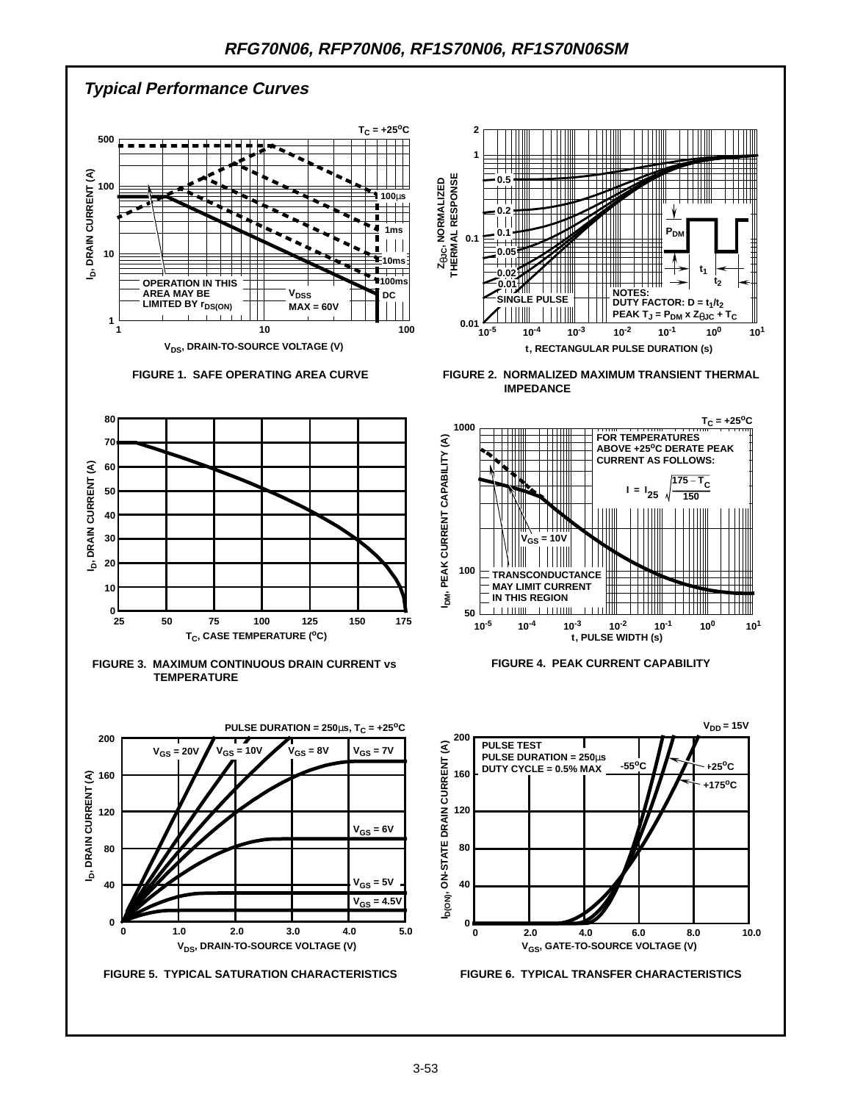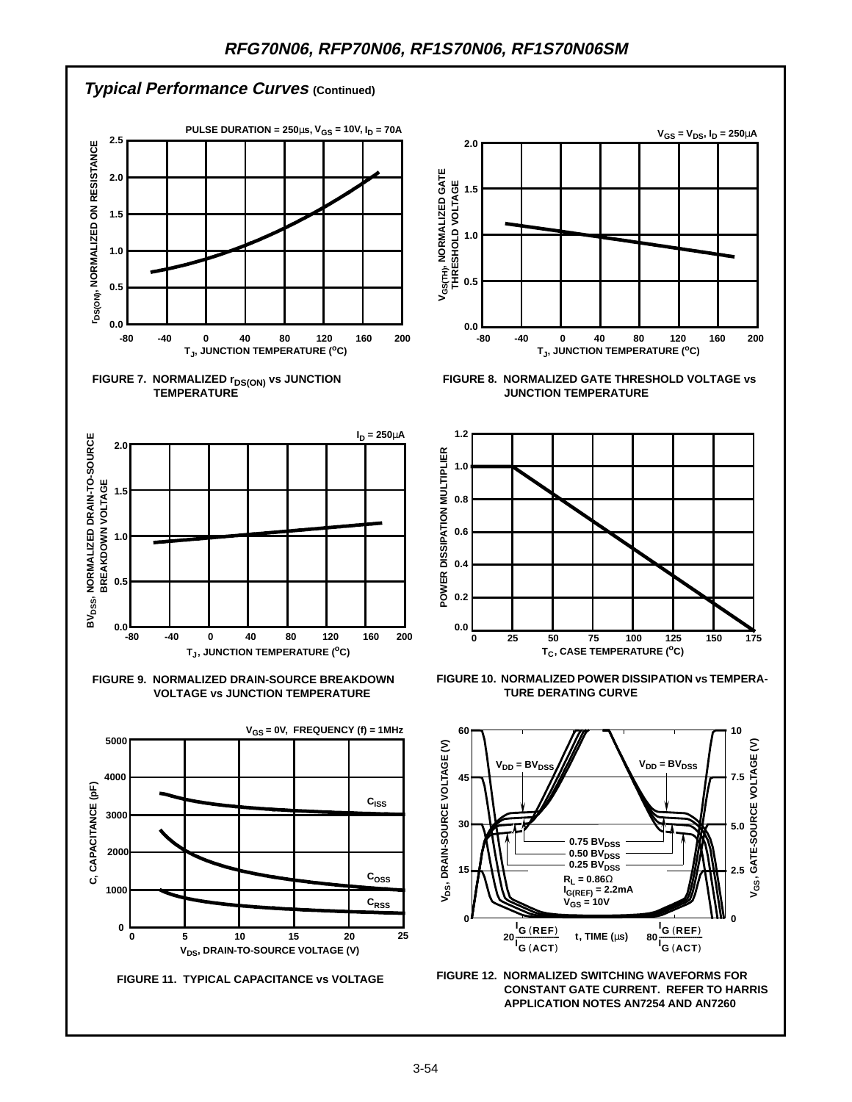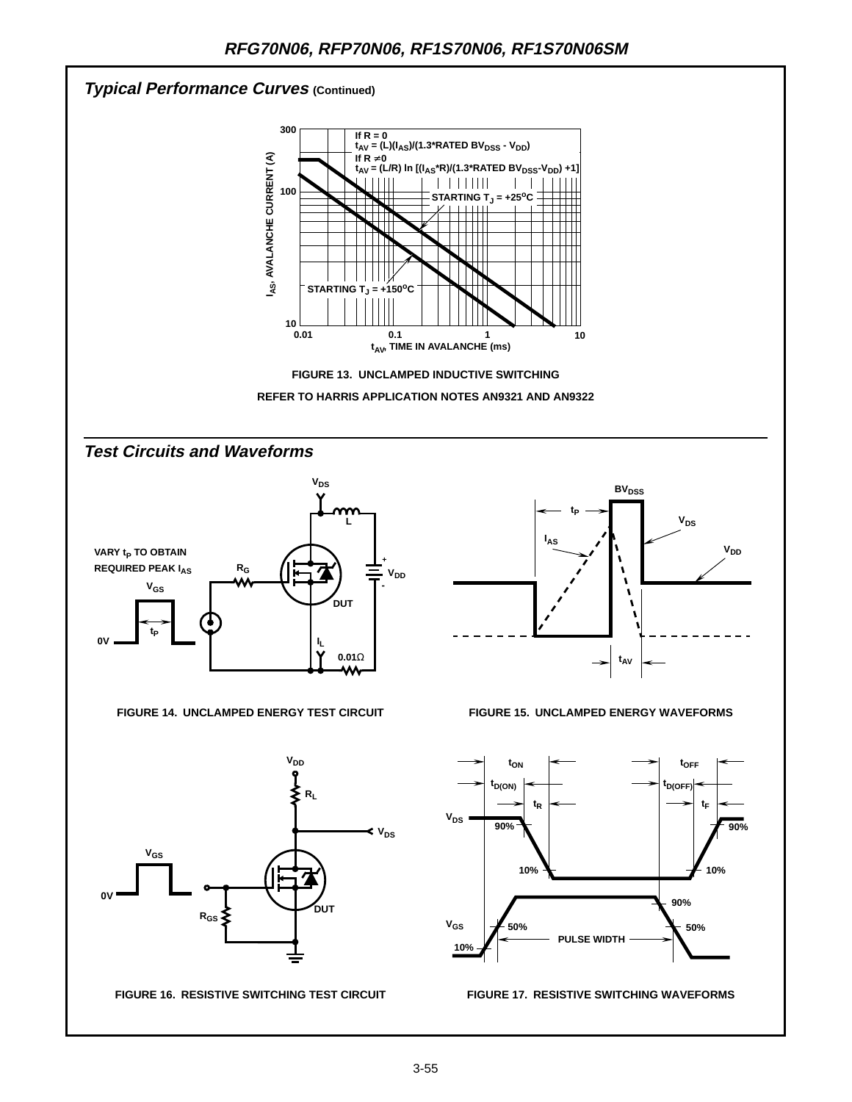